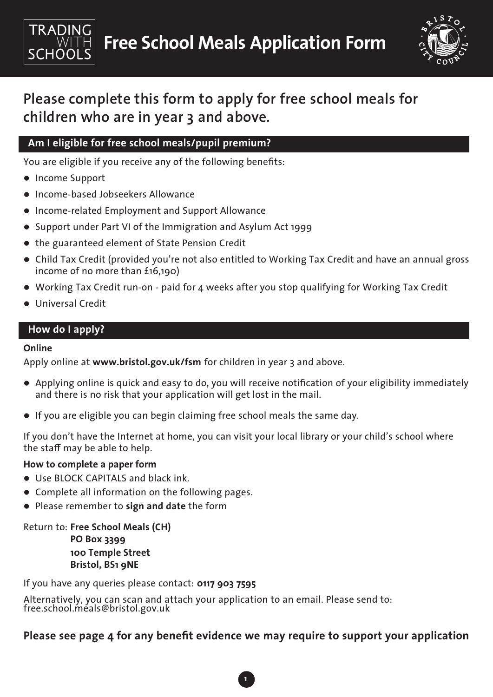



# **Please complete this form to apply for free school meals for children who are in year 3 and above.**

# **Am I eligible for free school meals/pupil premium?**

You are eligible if you receive any of the following benefits:

- Income Support
- **.** Income-based Jobseekers Allowance
- Income-related Employment and Support Allowance
- Support under Part VI of the Immigration and Asylum Act 1999
- the guaranteed element of State Pension Credit
- Child Tax Credit (provided you're not also entitled to Working Tax Credit and have an annual gross income of no more than £16,190)
- Working Tax Credit run-on paid for 4 weeks after you stop qualifying for Working Tax Credit
- Universal Credit

# **How do I apply?**

### **Online**

Apply online at **www.bristol.gov.uk/fsm** for children in year 3 and above.

- Applying online is quick and easy to do, you will receive notification of your eligibility immediately and there is no risk that your application will get lost in the mail.
- If you are eligible you can begin claiming free school meals the same day.

If you don't have the Internet at home, you can visit your local library or your child's school where the staff may be able to help.

### **How to complete a paper form**

- Use BLOCK CAPITALS and black ink.
- Complete all information on the following pages.
- Please remember to **sign and date** the form

Return to: **Free School Meals (CH)**

**PO Box 3399 100 Temple Street Bristol, BS1 9NE**

If you have any queries please contact: **0117 903 7595**

Alternatively, you can scan and attach your application to an email. Please send to: free.school.meals@bristol.gov.uk

# **Please see page 4 for any benefit evidence we may require to support your application**

**1**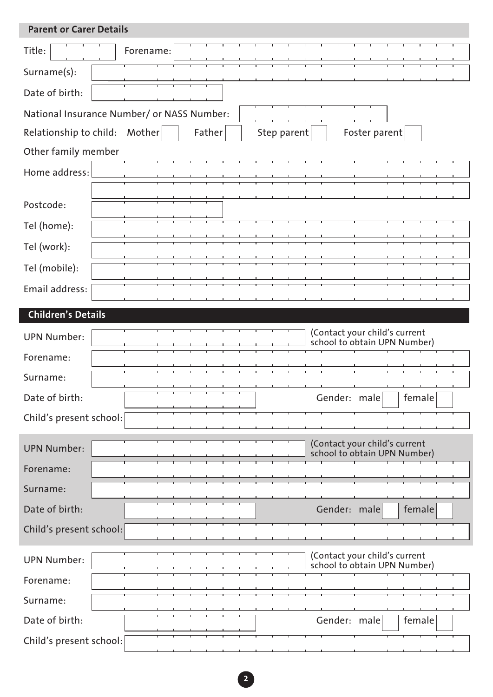| <b>Parent or Carer Details</b>             |                                                               |                                                               |                        |  |  |  |  |
|--------------------------------------------|---------------------------------------------------------------|---------------------------------------------------------------|------------------------|--|--|--|--|
| Title:<br>Forename:                        |                                                               |                                                               |                        |  |  |  |  |
| Surname(s):                                |                                                               |                                                               |                        |  |  |  |  |
| Date of birth:                             |                                                               |                                                               |                        |  |  |  |  |
| National Insurance Number/ or NASS Number: |                                                               |                                                               |                        |  |  |  |  |
| Relationship to child:<br>Mother           | Father                                                        | Step parent                                                   | Foster parent          |  |  |  |  |
| Other family member                        |                                                               |                                                               |                        |  |  |  |  |
| Home address:                              |                                                               |                                                               |                        |  |  |  |  |
| Postcode:                                  |                                                               |                                                               |                        |  |  |  |  |
|                                            |                                                               |                                                               |                        |  |  |  |  |
| Tel (home):                                |                                                               |                                                               |                        |  |  |  |  |
| Tel (work):                                |                                                               |                                                               |                        |  |  |  |  |
| Tel (mobile):                              |                                                               |                                                               |                        |  |  |  |  |
| Email address:                             |                                                               |                                                               |                        |  |  |  |  |
| <b>Children's Details</b>                  |                                                               |                                                               |                        |  |  |  |  |
| <b>UPN Number:</b>                         | (Contact your child's current<br>school to obtain UPN Number) |                                                               |                        |  |  |  |  |
| Forename:                                  |                                                               |                                                               |                        |  |  |  |  |
| Surname:                                   |                                                               |                                                               |                        |  |  |  |  |
| Date of birth:                             |                                                               |                                                               | Gender: male<br>female |  |  |  |  |
| Child's present school:                    |                                                               |                                                               |                        |  |  |  |  |
| <b>UPN Number:</b>                         |                                                               | (Contact your child's current<br>school to obtain UPN Number) |                        |  |  |  |  |
| Forename:                                  |                                                               |                                                               |                        |  |  |  |  |
| Surname:                                   |                                                               |                                                               |                        |  |  |  |  |
| Date of birth:                             |                                                               |                                                               | Gender: male<br>female |  |  |  |  |
| Child's present school:                    |                                                               |                                                               |                        |  |  |  |  |
| <b>UPN Number:</b>                         | (Contact your child's current<br>school to obtain UPN Number) |                                                               |                        |  |  |  |  |
| Forename:                                  |                                                               |                                                               |                        |  |  |  |  |
| Surname:                                   |                                                               |                                                               |                        |  |  |  |  |
| Date of birth:                             |                                                               |                                                               | Gender: male<br>female |  |  |  |  |
| Child's present school:                    |                                                               |                                                               |                        |  |  |  |  |

**2**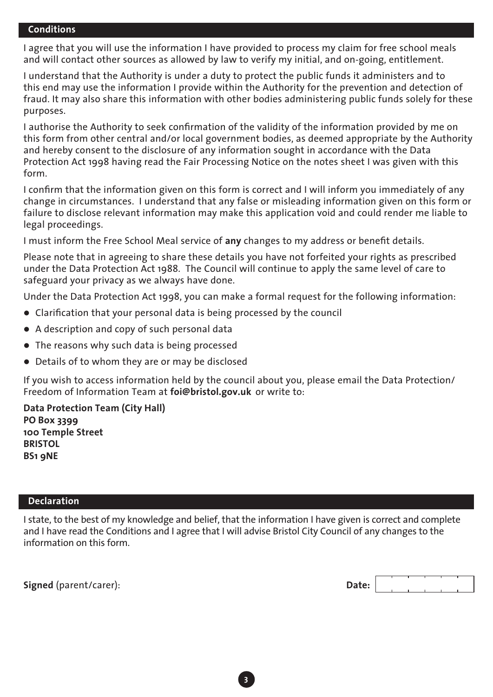#### **Conditions**

I agree that you will use the information I have provided to process my claim for free school meals and will contact other sources as allowed by law to verify my initial, and on-going, entitlement.

I understand that the Authority is under a duty to protect the public funds it administers and to this end may use the information I provide within the Authority for the prevention and detection of fraud. It may also share this information with other bodies administering public funds solely for these purposes.

I authorise the Authority to seek confirmation of the validity of the information provided by me on this form from other central and/or local government bodies, as deemed appropriate by the Authority and hereby consent to the disclosure of any information sought in accordance with the Data Protection Act 1998 having read the Fair Processing Notice on the notes sheet I was given with this form.

I confirm that the information given on this form is correct and I will inform you immediately of any change in circumstances. I understand that any false or misleading information given on this form or failure to disclose relevant information may make this application void and could render me liable to legal proceedings.

I must inform the Free School Meal service of **any** changes to my address or benefit details.

Please note that in agreeing to share these details you have not forfeited your rights as prescribed under the Data Protection Act 1988. The Council will continue to apply the same level of care to safeguard your privacy as we always have done.

Under the Data Protection Act 1998, you can make a formal request for the following information:

- Clarification that your personal data is being processed by the council
- A description and copy of such personal data
- The reasons why such data is being processed
- Details of to whom they are or may be disclosed

If you wish to access information held by the council about you, please email the Data Protection/ Freedom of Information Team at **foi@bristol.gov.uk** or write to:

**Data Protection Team (City Hall) PO Box 3399 100 Temple Street BRISTOL BS1 9NE**

#### **Declaration**

I state, to the best of my knowledge and belief, that the information I have given is correct and complete and I have read the Conditions and I agree that I will advise Bristol City Council of any changes to the information on this form.

**Signed** (parent/carer): **D** 

| )ate: |  |  |  |
|-------|--|--|--|
|       |  |  |  |

**3**